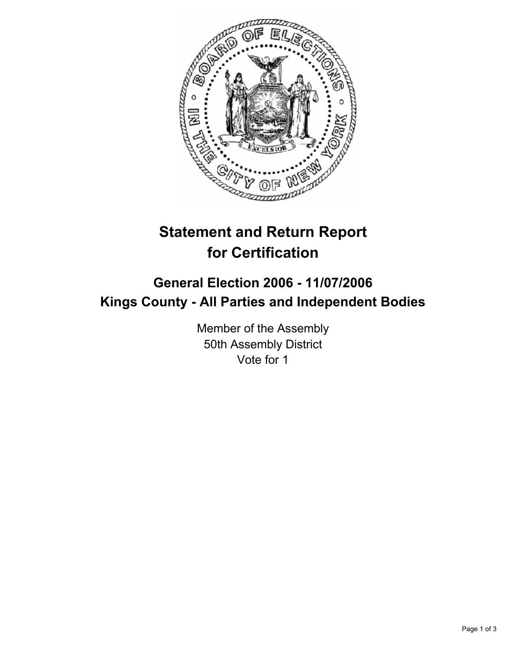

# **Statement and Return Report for Certification**

# **General Election 2006 - 11/07/2006 Kings County - All Parties and Independent Bodies**

Member of the Assembly 50th Assembly District Vote for 1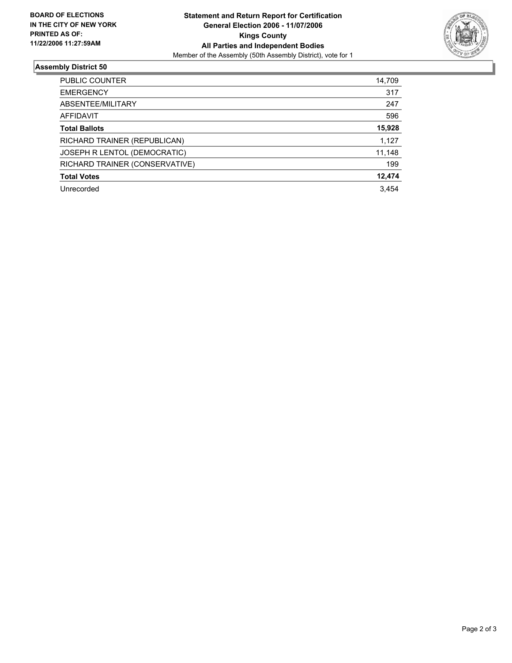

## **Assembly District 50**

| 14,709 |
|--------|
| 317    |
| 247    |
| 596    |
| 15,928 |
| 1,127  |
| 11,148 |
| 199    |
| 12,474 |
| 3.454  |
|        |